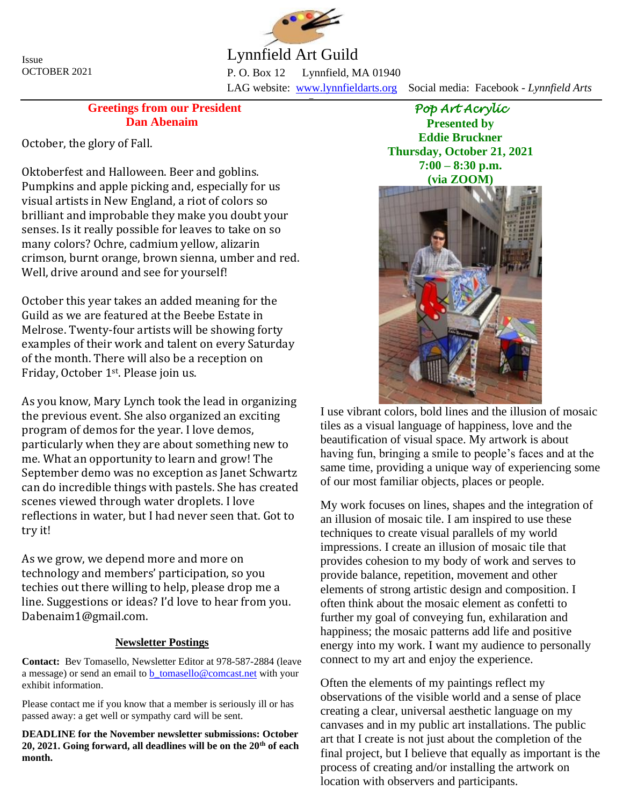

Lynnfield Art Guild

P. O. Box 12 Lynnfield, MA 01940 LAG website: [www.lynnfieldarts.org](about:blank) Social media: Facebook - *Lynnfield Arts* \_

## **Greetings from our President Dan Abenaim**

October, the glory of Fall.

Oktoberfest and Halloween. Beer and goblins. Pumpkins and apple picking and, especially for us visual artists in New England, a riot of colors so brilliant and improbable they make you doubt your senses. Is it really possible for leaves to take on so many colors? Ochre, cadmium yellow, alizarin crimson, burnt orange, brown sienna, umber and red. Well, drive around and see for yourself!

October this year takes an added meaning for the Guild as we are featured at the Beebe Estate in Melrose. Twenty-four artists will be showing forty examples of their work and talent on every Saturday of the month. There will also be a reception on Friday, October 1st. Please join us.

As you know, Mary Lynch took the lead in organizing the previous event. She also organized an exciting program of demos for the year. I love demos, particularly when they are about something new to me. What an opportunity to learn and grow! The September demo was no exception as Janet Schwartz can do incredible things with pastels. She has created scenes viewed through water droplets. I love reflections in water, but I had never seen that. Got to try it!

As we grow, we depend more and more on technology and members' participation, so you techies out there willing to help, please drop me a line. Suggestions or ideas? I'd love to hear from you. Dabenaim1@gmail.com.

## **Newsletter Postings**

**Contact:** Bev Tomasello, Newsletter Editor at 978-587-2884 (leave a message) or send an email to [b\\_tomasello@comcast.net](about:blank) with your exhibit information.

Please contact me if you know that a member is seriously ill or has passed away: a get well or sympathy card will be sent.

**DEADLINE for the November newsletter submissions: October 20, 2021. Going forward, all deadlines will be on the 20th of each month.**

*Pop Art Acrylic*  **Presented by Eddie Bruckner Thursday, October 21, 2021 7:00 – 8:30 p.m. (via ZOOM)**



I use vibrant colors, bold lines and the illusion of mosaic tiles as a visual language of happiness, love and the beautification of visual space. My artwork is about having fun, bringing a smile to people's faces and at the same time, providing a unique way of experiencing some of our most familiar objects, places or people.

My work focuses on lines, shapes and the integration of an illusion of mosaic tile. I am inspired to use these techniques to create visual parallels of my world impressions. I create an illusion of mosaic tile that provides cohesion to my body of work and serves to provide balance, repetition, movement and other elements of strong artistic design and composition. I often think about the mosaic element as confetti to further my goal of conveying fun, exhilaration and happiness; the mosaic patterns add life and positive energy into my work. I want my audience to personally connect to my art and enjoy the experience.

Often the elements of my paintings reflect my observations of the visible world and a sense of place creating a clear, universal aesthetic language on my canvases and in my public art installations. The public art that I create is not just about the completion of the final project, but I believe that equally as important is the process of creating and/or installing the artwork on location with observers and participants.

Issue OCTOBER 2021